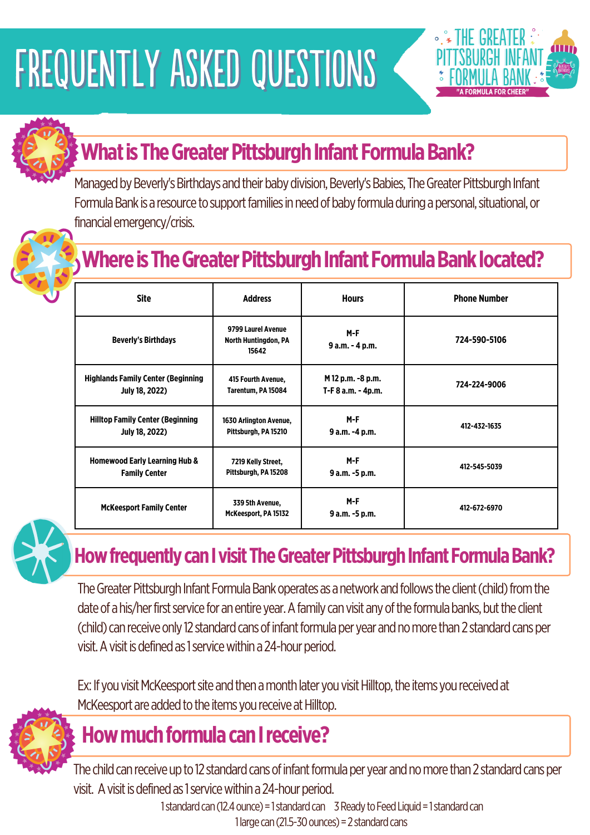# FREQUENTLY ASKED QUESTIONS



## **What is The Greater Pittsburgh Infant Formula Bank?**

Managed by Beverly's Birthdays and their baby division, Beverly's Babies, The Greater Pittsburgh Infant Formula Bank is a resource to support families in need of baby formula during a personal, situational, or financial emergency/crisis.

### **Where is The Greater Pittsburgh Infant Formula Bank located?**

| <b>Site</b>                               | <b>Address</b>                                             | <b>Hours</b>           | <b>Phone Number</b> |
|-------------------------------------------|------------------------------------------------------------|------------------------|---------------------|
| <b>Beverly's Birthdays</b>                | 9799 Laurel Avenue<br><b>North Huntingdon, PA</b><br>15642 | M-F<br>9 a.m. - 4 p.m. | 724-590-5106        |
| <b>Highlands Family Center (Beginning</b> | 415 Fourth Avenue,                                         | M 12 p.m. -8 p.m.      | 724-224-9006        |
| <b>July 18, 2022)</b>                     | Tarentum, PA 15084                                         | T-F 8 a.m. - 4p.m.     |                     |
| <b>Hilltop Family Center (Beginning</b>   | 1630 Arlington Avenue,                                     | M-F                    | 412-432-1635        |
| <b>July 18, 2022)</b>                     | Pittsburgh, PA 15210                                       | 9 a.m. -4 p.m.         |                     |

| <b>Homewood Early Learning Hub &amp;</b> | 7219 Kelly Street,                      | $M-F$                   | 412-545-5039 |
|------------------------------------------|-----------------------------------------|-------------------------|--------------|
| <b>Family Center</b>                     | Pittsburgh, PA 15208                    | 9 a.m. -5 p.m.          |              |
| <b>McKeesport Family Center</b>          | 339 5th Avenue,<br>McKeesport, PA 15132 | $M-F$<br>9 a.m. -5 p.m. | 412-672-6970 |



#### **How frequently can I visit The Greater Pittsburgh Infant Formula Bank?**

The Greater Pittsburgh Infant Formula Bank operates as a network and follows the client (child) from the date of a his/her first service for an entire year. A family can visit any of the formula banks, but the client (child) can receive only 12 standard cans of infant formula per year and no more than 2 standard cans per visit. A visit is defined as 1 service within a 24-hour period.

Ex: If you visit McKeesport site and then a month later you visit Hilltop, the items you received at McKeesport are added to the items you receive at Hilltop.



### **How much formula can I receive?**

The child can receive up to 12 standard cans of infant formula per year and no more than 2 standard cans per visit. A visit is defined as 1 service within a 24-hour period.

1 standard can (12.4 ounce) = 1 standard can  $3$  Ready to Feed Liquid = 1 standard can 1 large can  $(21.5-30$  ounces) = 2 standard cans